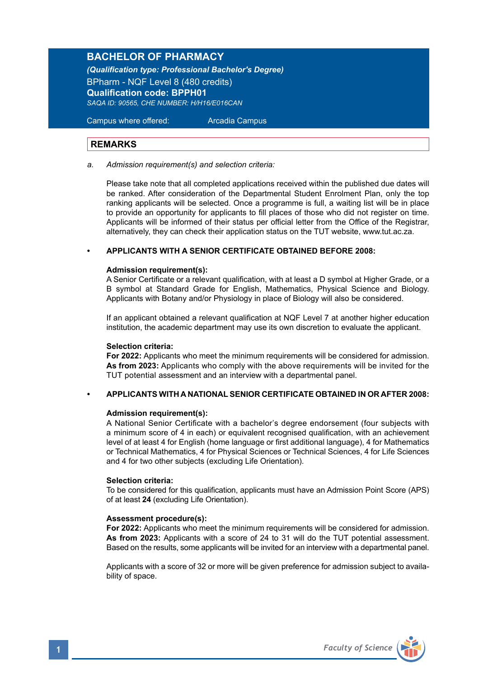## **BACHELOR OF PHARMACY**

*(Qualification type: Professional Bachelor's Degree)* BPharm - NQF Level 8 (480 credits) **Qualification code: BPPH01** *SAQA ID: 90565, CHE NUMBER: H/H16/E016CAN*

Campus where offered: Arcadia Campus

#### **REMARKS**

*a. Admission requirement(s) and selection criteria:*

Please take note that all completed applications received within the published due dates will be ranked. After consideration of the Departmental Student Enrolment Plan, only the top ranking applicants will be selected. Once a programme is full, a waiting list will be in place to provide an opportunity for applicants to fill places of those who did not register on time. Applicants will be informed of their status per official letter from the Office of the Registrar, alternatively, they can check their application status on the TUT website, www.tut.ac.za.

#### **• APPLICANTS WITH A SENIOR CERTIFICATE OBTAINED BEFORE 2008:**

#### **Admission requirement(s):**

A Senior Certificate or a relevant qualification, with at least a D symbol at Higher Grade, or a B symbol at Standard Grade for English, Mathematics, Physical Science and Biology. Applicants with Botany and/or Physiology in place of Biology will also be considered.

If an applicant obtained a relevant qualification at NQF Level 7 at another higher education institution, the academic department may use its own discretion to evaluate the applicant.

#### **Selection criteria:**

**For 2022:** Applicants who meet the minimum requirements will be considered for admission. **As from 2023:** Applicants who comply with the above requirements will be invited for the TUT potential assessment and an interview with a departmental panel.

#### **• APPLICANTS WITH A NATIONAL SENIOR CERTIFICATE OBTAINED IN OR AFTER 2008:**

#### **Admission requirement(s):**

A National Senior Certificate with a bachelor's degree endorsement (four subjects with a minimum score of 4 in each) or equivalent recognised qualification, with an achievement level of at least 4 for English (home language or first additional language), 4 for Mathematics or Technical Mathematics, 4 for Physical Sciences or Technical Sciences, 4 for Life Sciences and 4 for two other subjects (excluding Life Orientation).

#### **Selection criteria:**

To be considered for this qualification, applicants must have an Admission Point Score (APS) of at least **24** (excluding Life Orientation).

#### **Assessment procedure(s):**

**For 2022:** Applicants who meet the minimum requirements will be considered for admission. **As from 2023:** Applicants with a score of 24 to 31 will do the TUT potential assessment. Based on the results, some applicants will be invited for an interview with a departmental panel.

Applicants with a score of 32 or more will be given preference for admission subject to availability of space.

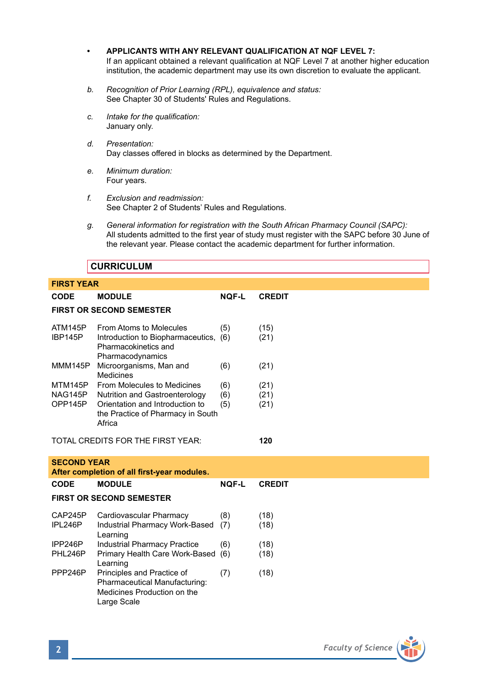- **• APPLICANTS WITH ANY RELEVANT QUALIFICATION AT NQF LEVEL 7:** If an applicant obtained a relevant qualification at NQF Level 7 at another higher education institution, the academic department may use its own discretion to evaluate the applicant.
- *b. Recognition of Prior Learning (RPL), equivalence and status:* See Chapter 30 of Students' Rules and Regulations.
- *c. Intake for the qualification:* January only.
- *d. Presentation:*  Day classes offered in blocks as determined by the Department.
- *e. Minimum duration:* Four years.
- *f. Exclusion and readmission:* See Chapter 2 of Students' Rules and Regulations.
- *g. General information for registration with the South African Pharmacy Council (SAPC):* All students admitted to the first year of study must register with the SAPC before 30 June of the relevant year. Please contact the academic department for further information.

## **CURRICULUM**

| <b>FIRST YEAR</b>                    |                                                                                                                                                        |                   |                      |
|--------------------------------------|--------------------------------------------------------------------------------------------------------------------------------------------------------|-------------------|----------------------|
| <b>CODE</b>                          | <b>MODULE</b>                                                                                                                                          | <b>NQF-L</b>      | <b>CREDIT</b>        |
|                                      | <b>FIRST OR SECOND SEMESTER</b>                                                                                                                        |                   |                      |
| ATM145P<br>IBP145P                   | From Atoms to Molecules<br>Introduction to Biopharmaceutics, (6)<br>Pharmacokinetics and<br>Pharmacodynamics                                           | (5)               | (15)<br>(21)         |
| MMM145P                              | Microorganisms, Man and<br><b>Medicines</b>                                                                                                            | (6)               | (21)                 |
| <b>MTM145P</b><br>NAG145P<br>OPP145P | From Molecules to Medicines<br><b>Nutrition and Gastroenterology</b><br>Orientation and Introduction to<br>the Practice of Pharmacy in South<br>Africa | (6)<br>(6)<br>(5) | (21)<br>(21)<br>(21) |
|                                      | TOTAL CREDITS FOR THE FIRST YEAR:                                                                                                                      |                   | 120                  |
| <b>SECOND YEAR</b>                   | After completion of all first-year modules.                                                                                                            |                   |                      |
| CODE                                 | <b>MODULE</b>                                                                                                                                          | <b>NQF-L</b>      | <b>CREDIT</b>        |
|                                      | <b>FIRST OR SECOND SEMESTER</b>                                                                                                                        |                   |                      |
| CAP245P<br>IPL246P                   | Cardiovascular Pharmacy<br>Industrial Pharmacy Work-Based<br>Learning                                                                                  | (8)<br>(7)        | (18)<br>(18)         |
| IPP246P                              | <b>Industrial Pharmacy Practice</b>                                                                                                                    | (6)               | (18)                 |
| PHL246P                              | Primary Health Care Work-Based<br>Learning                                                                                                             | (6)               | (18)                 |
| PPP246P                              | Principles and Practice of<br>Pharmaceutical Manufacturing:<br>Medicines Production on the<br>Large Scale                                              | (7)               | (18)                 |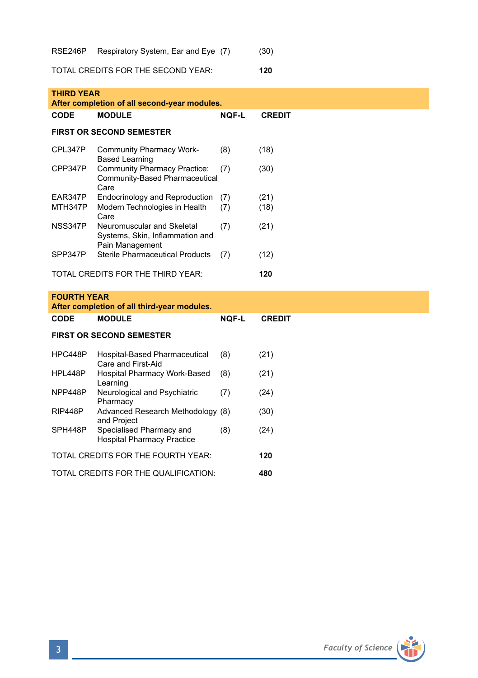RSE246P Respiratory System, Ear and Eye (7) (30)

TOTAL CREDITS FOR THE SECOND YEAR: **120**

| <b>THIRD YEAR</b><br>After completion of all second-year modules. |                                                                                  |              |               |  |
|-------------------------------------------------------------------|----------------------------------------------------------------------------------|--------------|---------------|--|
| <b>CODE</b>                                                       | <b>MODULE</b>                                                                    | <b>NQF-L</b> | <b>CREDIT</b> |  |
|                                                                   | <b>FIRST OR SECOND SEMESTER</b>                                                  |              |               |  |
| CPL347P                                                           | <b>Community Pharmacy Work-</b><br><b>Based Learning</b>                         | (8)          | (18)          |  |
| CPP347P                                                           | <b>Community Pharmacy Practice:</b><br>Community-Based Pharmaceutical<br>Care    | (7)          | (30)          |  |
| EAR347P                                                           | Endocrinology and Reproduction                                                   | (7)          | (21)          |  |
| MTH347P                                                           | Modern Technologies in Health<br>Care                                            | (7)          | (18)          |  |
| NSS347P                                                           | Neuromuscular and Skeletal<br>Systems, Skin, Inflammation and<br>Pain Management | (7)          | (21)          |  |
| SPP347P                                                           | <b>Sterile Pharmaceutical Products</b>                                           | (7)          | (12)          |  |
| TOTAL CREDITS FOR THE THIRD YEAR:                                 |                                                                                  |              | 120           |  |
| <b>FOURTH YEAR</b>                                                |                                                                                  |              |               |  |
| After completion of all third-year modules.                       |                                                                                  |              |               |  |
| CODE                                                              | <b>MODULE</b>                                                                    | <b>NQF-L</b> | <b>CREDIT</b> |  |
| <b>FIRST OR SECOND SEMESTER</b>                                   |                                                                                  |              |               |  |
| HPC448P                                                           | Hospital-Based Pharmaceutical<br>Care and First-Aid                              | (8)          | (21)          |  |
| HPL448P                                                           | Hospital Pharmacy Work-Based<br>Learning                                         | (8)          | (21)          |  |
| NPP448P                                                           | Neurological and Psychiatric<br>Pharmacy                                         | (7)          | (24)          |  |
| RIP448P                                                           | Advanced Research Methodology (8)<br>and Project                                 |              | (30)          |  |
| SPH448P                                                           | Specialised Pharmacy and<br><b>Hospital Pharmacy Practice</b>                    | (8)          | (24)          |  |
| TOTAL CREDITS FOR THE FOURTH YEAR:                                |                                                                                  |              | 120           |  |
| TOTAL CREDITS FOR THE QUALIFICATION:                              |                                                                                  |              | 480           |  |

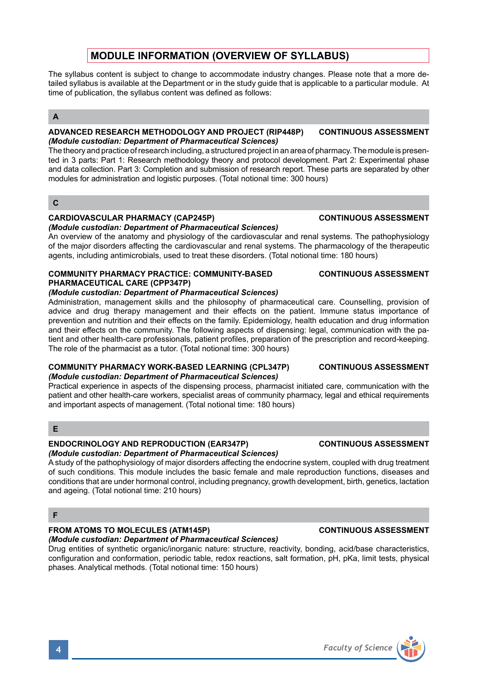## **MODULE INFORMATION (OVERVIEW OF SYLLABUS)**

The syllabus content is subject to change to accommodate industry changes. Please note that a more detailed syllabus is available at the Department or in the study guide that is applicable to a particular module. At time of publication, the syllabus content was defined as follows:

## **A**

#### **ADVANCED RESEARCH METHODOLOGY AND PROJECT (RIP448P) CONTINUOUS ASSESSMENT** *(Module custodian: Department of Pharmaceutical Sciences)*

The theory and practice of research including, a structured project in an area of pharmacy. The module is presented in 3 parts: Part 1: Research methodology theory and protocol development. Part 2: Experimental phase and data collection. Part 3: Completion and submission of research report. These parts are separated by other modules for administration and logistic purposes. (Total notional time: 300 hours)

#### **C**

## **CARDIOVASCULAR PHARMACY (CAP245P) CONTINUOUS ASSESSMENT**

# *(Module custodian: Department of Pharmaceutical Sciences)*

An overview of the anatomy and physiology of the cardiovascular and renal systems. The pathophysiology of the major disorders affecting the cardiovascular and renal systems. The pharmacology of the therapeutic agents, including antimicrobials, used to treat these disorders. (Total notional time: 180 hours)

#### **COMMUNITY PHARMACY PRACTICE: COMMUNITY-BASED CONTINUOUS ASSESSMENT PHARMACEUTICAL CARE (CPP347P)**

## *(Module custodian: Department of Pharmaceutical Sciences)*

Administration, management skills and the philosophy of pharmaceutical care. Counselling, provision of advice and drug therapy management and their effects on the patient. Immune status importance of prevention and nutrition and their effects on the family. Epidemiology, health education and drug information and their effects on the community. The following aspects of dispensing: legal, communication with the patient and other health-care professionals, patient profiles, preparation of the prescription and record-keeping. The role of the pharmacist as a tutor. (Total notional time: 300 hours)

#### **COMMUNITY PHARMACY WORK-BASED LEARNING (CPL347P) CONTINUOUS ASSESSMENT** *(Module custodian: Department of Pharmaceutical Sciences)*

Practical experience in aspects of the dispensing process, pharmacist initiated care, communication with the patient and other health-care workers, specialist areas of community pharmacy, legal and ethical requirements and important aspects of management. (Total notional time: 180 hours)

## **E**

## **ENDOCRINOLOGY AND REPRODUCTION (EAR347P) CONTINUOUS ASSESSMENT**

## *(Module custodian: Department of Pharmaceutical Sciences)*

A study of the pathophysiology of major disorders affecting the endocrine system, coupled with drug treatment of such conditions. This module includes the basic female and male reproduction functions, diseases and conditions that are under hormonal control, including pregnancy, growth development, birth, genetics, lactation and ageing. (Total notional time: 210 hours)

## **F**

## **FROM ATOMS TO MOLECULES (ATM145P) CONTINUOUS ASSESSMENT**

## *(Module custodian: Department of Pharmaceutical Sciences)*

Drug entities of synthetic organic/inorganic nature: structure, reactivity, bonding, acid/base characteristics, configuration and conformation, periodic table, redox reactions, salt formation, pH, pKa, limit tests, physical phases. Analytical methods. (Total notional time: 150 hours)

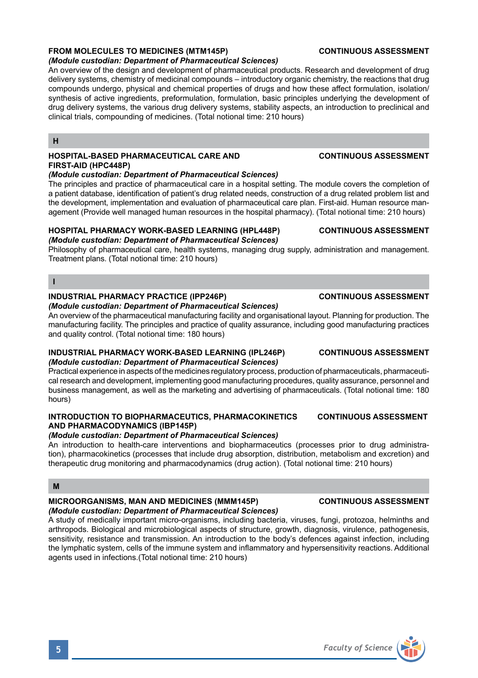## **FROM MOLECULES TO MEDICINES (MTM145P) CONTINUOUS ASSESSMENT**

#### *(Module custodian: Department of Pharmaceutical Sciences)*

An overview of the design and development of pharmaceutical products. Research and development of drug delivery systems, chemistry of medicinal compounds – introductory organic chemistry, the reactions that drug compounds undergo, physical and chemical properties of drugs and how these affect formulation, isolation/ synthesis of active ingredients, preformulation, formulation, basic principles underlying the development of drug delivery systems, the various drug delivery systems, stability aspects, an introduction to preclinical and clinical trials, compounding of medicines. (Total notional time: 210 hours)

### **H**

## **HOSPITAL-BASED PHARMACEUTICAL CARE AND CONTINUOUS ASSESSMENT FIRST-AID (HPC448P)**

#### *(Module custodian: Department of Pharmaceutical Sciences)*

The principles and practice of pharmaceutical care in a hospital setting. The module covers the completion of a patient database, identification of patient's drug related needs, construction of a drug related problem list and the development, implementation and evaluation of pharmaceutical care plan. First-aid. Human resource management (Provide well managed human resources in the hospital pharmacy). (Total notional time: 210 hours)

## **HOSPITAL PHARMACY WORK-BASED LEARNING (HPL448P) CONTINUOUS ASSESSMENT**

## *(Module custodian: Department of Pharmaceutical Sciences)*

Philosophy of pharmaceutical care, health systems, managing drug supply, administration and management. Treatment plans. (Total notional time: 210 hours)

#### **I**

#### **INDUSTRIAL PHARMACY PRACTICE (IPP246P) CONTINUOUS ASSESSMENT**

#### *(Module custodian: Department of Pharmaceutical Sciences)*

An overview of the pharmaceutical manufacturing facility and organisational layout. Planning for production. The manufacturing facility. The principles and practice of quality assurance, including good manufacturing practices and quality control. (Total notional time: 180 hours)

#### **INDUSTRIAL PHARMACY WORK-BASED LEARNING (IPL246P) CONTINUOUS ASSESSMENT** *(Module custodian: Department of Pharmaceutical Sciences)*

Practical experience in aspects of the medicines regulatory process, production of pharmaceuticals, pharmaceutical research and development, implementing good manufacturing procedures, quality assurance, personnel and business management, as well as the marketing and advertising of pharmaceuticals. (Total notional time: 180 hours)

#### **INTRODUCTION TO BIOPHARMACEUTICS, PHARMACOKINETICS CONTINUOUS ASSESSMENT AND PHARMACODYNAMICS (IBP145P)**

#### *(Module custodian: Department of Pharmaceutical Sciences)*

An introduction to health-care interventions and biopharmaceutics (processes prior to drug administration), pharmacokinetics (processes that include drug absorption, distribution, metabolism and excretion) and therapeutic drug monitoring and pharmacodynamics (drug action). (Total notional time: 210 hours)

#### **M**

## **MICROORGANISMS, MAN AND MEDICINES (MMM145P) CONTINUOUS ASSESSMENT**

## *(Module custodian: Department of Pharmaceutical Sciences)*

A study of medically important micro-organisms, including bacteria, viruses, fungi, protozoa, helminths and arthropods. Biological and microbiological aspects of structure, growth, diagnosis, virulence, pathogenesis, sensitivity, resistance and transmission. An introduction to the body's defences against infection, including the lymphatic system, cells of the immune system and inflammatory and hypersensitivity reactions. Additional agents used in infections.(Total notional time: 210 hours)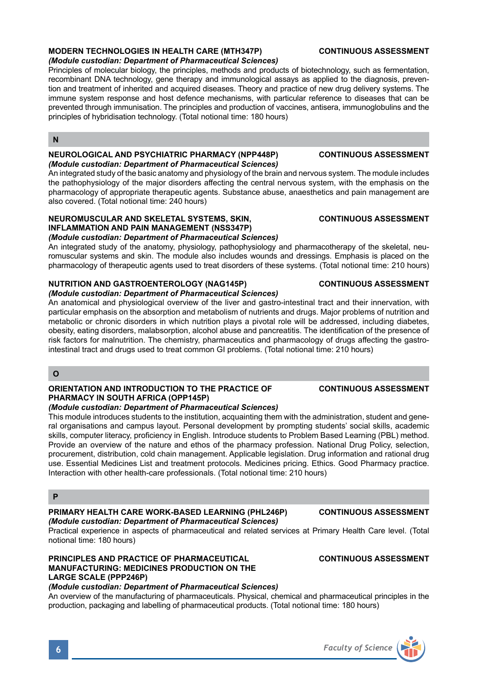

#### **MODERN TECHNOLOGIES IN HEALTH CARE (MTH347P) CONTINUOUS ASSESSMENT** *(Module custodian: Department of Pharmaceutical Sciences)*

Principles of molecular biology, the principles, methods and products of biotechnology, such as fermentation, recombinant DNA technology, gene therapy and immunological assays as applied to the diagnosis, prevention and treatment of inherited and acquired diseases. Theory and practice of new drug delivery systems. The immune system response and host defence mechanisms, with particular reference to diseases that can be prevented through immunisation. The principles and production of vaccines, antisera, immunoglobulins and the principles of hybridisation technology. (Total notional time: 180 hours)

#### **N**

#### **NEUROLOGICAL AND PSYCHIATRIC PHARMACY (NPP448P) CONTINUOUS ASSESSMENT** *(Module custodian: Department of Pharmaceutical Sciences)*

An integrated study of the basic anatomy and physiology of the brain and nervous system. The module includes the pathophysiology of the major disorders affecting the central nervous system, with the emphasis on the pharmacology of appropriate therapeutic agents. Substance abuse, anaesthetics and pain management are also covered. (Total notional time: 240 hours)

#### **NEUROMUSCULAR AND SKELETAL SYSTEMS, SKIN, CONTINUOUS ASSESSMENT INFLAMMATION AND PAIN MANAGEMENT (NSS347P)** *(Module custodian: Department of Pharmaceutical Sciences)*

An integrated study of the anatomy, physiology, pathophysiology and pharmacotherapy of the skeletal, neuromuscular systems and skin. The module also includes wounds and dressings. Emphasis is placed on the pharmacology of therapeutic agents used to treat disorders of these systems. (Total notional time: 210 hours)

## **NUTRITION AND GASTROENTEROLOGY (NAG145P) CONTINUOUS ASSESSMENT**

### *(Module custodian: Department of Pharmaceutical Sciences)*

An anatomical and physiological overview of the liver and gastro-intestinal tract and their innervation, with particular emphasis on the absorption and metabolism of nutrients and drugs. Major problems of nutrition and metabolic or chronic disorders in which nutrition plays a pivotal role will be addressed, including diabetes, obesity, eating disorders, malabsorption, alcohol abuse and pancreatitis. The identification of the presence of risk factors for malnutrition. The chemistry, pharmaceutics and pharmacology of drugs affecting the gastrointestinal tract and drugs used to treat common GI problems. (Total notional time: 210 hours)

### **O**

#### **ORIENTATION AND INTRODUCTION TO THE PRACTICE OF CONTINUOUS ASSESSMENT PHARMACY IN SOUTH AFRICA (OPP145P)** *(Module custodian: Department of Pharmaceutical Sciences)*

This module introduces students to the institution, acquainting them with the administration, student and general organisations and campus layout. Personal development by prompting students' social skills, academic skills, computer literacy, proficiency in English. Introduce students to Problem Based Learning (PBL) method. Provide an overview of the nature and ethos of the pharmacy profession. National Drug Policy, selection, procurement, distribution, cold chain management. Applicable legislation. Drug information and rational drug use. Essential Medicines List and treatment protocols. Medicines pricing. Ethics. Good Pharmacy practice. Interaction with other health-care professionals. (Total notional time: 210 hours)

## **P**

### **PRIMARY HEALTH CARE WORK-BASED LEARNING (PHL246P) CONTINUOUS ASSESSMENT** *(Module custodian: Department of Pharmaceutical Sciences)*

Practical experience in aspects of pharmaceutical and related services at Primary Health Care level. (Total notional time: 180 hours)

### **PRINCIPLES AND PRACTICE OF PHARMACEUTICAL CONTINUOUS ASSESSMENT MANUFACTURING: MEDICINES PRODUCTION ON THE LARGE SCALE (PPP246P)**

### *(Module custodian: Department of Pharmaceutical Sciences)*

An overview of the manufacturing of pharmaceuticals. Physical, chemical and pharmaceutical principles in the production, packaging and labelling of pharmaceutical products. (Total notional time: 180 hours)